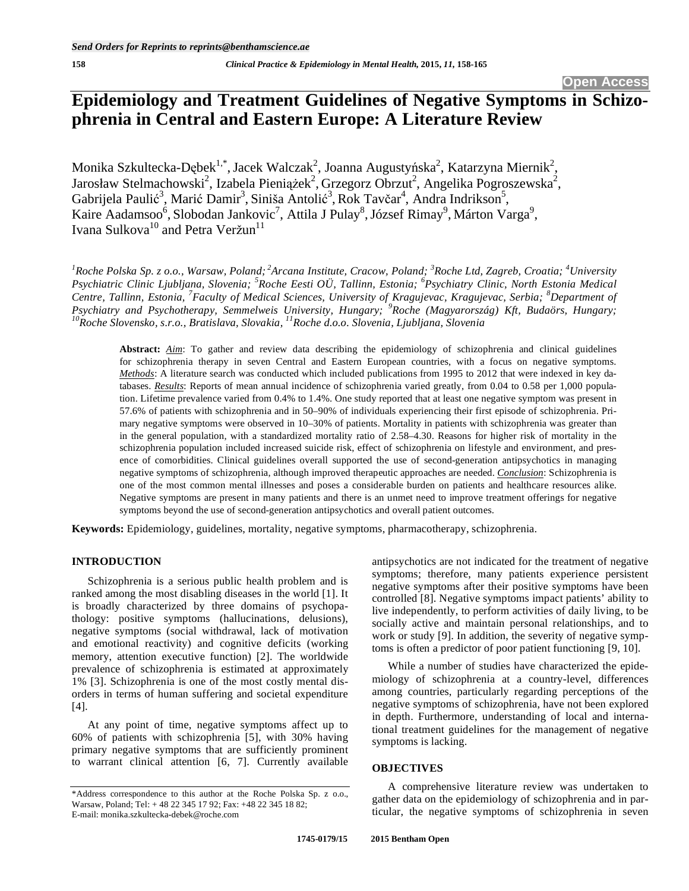# **Epidemiology and Treatment Guidelines of Negative Symptoms in Schizophrenia in Central and Eastern Europe: A Literature Review**

Monika Szkultecka-Dębek $^{1,*}$ , Jacek Walczak $^2$ , Joanna Augustyńska $^2$ , Katarzyna Miernik $^2$ , Jarosław Stelmachowski<sup>2</sup>, Izabela Pieniążek<sup>2</sup>, Grzegorz Obrzut<sup>2</sup>, Angelika Pogroszewska<sup>2</sup>, Gabrijela Paulić<sup>3</sup>, Marić Damir<sup>3</sup>, Siniša Antolić<sup>3</sup>, Rok Tavčar<sup>4</sup>, Andra Indrikson<sup>5</sup>, Kaire Aadamsoo<sup>6</sup>, Slobodan Jankovic<sup>7</sup>, Attila J Pulay<sup>8</sup>, József Rimay<sup>9</sup>, Márton Varga<sup>9</sup>, Ivana Sulkova<sup>10</sup> and Petra Veržun<sup>11</sup>

<sup>1</sup> Roche Polska Sp. z o.o., Warsaw, Poland;<sup>2</sup> Arcana Institute, Cracow, Poland;<sup>3</sup> Roche Ltd, Zagreb, Croatia;<sup>4</sup> University *Psychiatric Clinic Ljubljana, Slovenia; <sup>5</sup> Roche Eesti OÜ, Tallinn, Estonia; <sup>6</sup> Psychiatry Clinic, North Estonia Medical Centre, Tallinn, Estonia, <sup>7</sup> Faculty of Medical Sciences, University of Kragujevac, Kragujevac, Serbia; <sup>8</sup> Department of*  Psychiatry and Psychotherapy, Semmelweis University, Hungary; <sup>9</sup>Roche (Magyarország) Kft, Budaörs, Hungary;<br><sup>10</sup>Roche Slovensko, s.r.o., Bratislava, Slovakia, <sup>11</sup>Roche d.o.o. Slovenia, Ljubljana, Slovenia

**Abstract:** *Aim*: To gather and review data describing the epidemiology of schizophrenia and clinical guidelines for schizophrenia therapy in seven Central and Eastern European countries, with a focus on negative symptoms. *Methods*: A literature search was conducted which included publications from 1995 to 2012 that were indexed in key databases. *Results*: Reports of mean annual incidence of schizophrenia varied greatly, from 0.04 to 0.58 per 1,000 population. Lifetime prevalence varied from 0.4% to 1.4%. One study reported that at least one negative symptom was present in 57.6% of patients with schizophrenia and in 50–90% of individuals experiencing their first episode of schizophrenia. Primary negative symptoms were observed in 10–30% of patients. Mortality in patients with schizophrenia was greater than in the general population, with a standardized mortality ratio of 2.58–4.30. Reasons for higher risk of mortality in the schizophrenia population included increased suicide risk, effect of schizophrenia on lifestyle and environment, and presence of comorbidities. Clinical guidelines overall supported the use of second-generation antipsychotics in managing negative symptoms of schizophrenia, although improved therapeutic approaches are needed. *Conclusion*: Schizophrenia is one of the most common mental illnesses and poses a considerable burden on patients and healthcare resources alike. Negative symptoms are present in many patients and there is an unmet need to improve treatment offerings for negative symptoms beyond the use of second-generation antipsychotics and overall patient outcomes.

**Keywords:** Epidemiology, guidelines, mortality, negative symptoms, pharmacotherapy, schizophrenia.

#### **INTRODUCTION**

Schizophrenia is a serious public health problem and is ranked among the most disabling diseases in the world [1]. It is broadly characterized by three domains of psychopathology: positive symptoms (hallucinations, delusions), negative symptoms (social withdrawal, lack of motivation and emotional reactivity) and cognitive deficits (working memory, attention executive function) [2]. The worldwide prevalence of schizophrenia is estimated at approximately 1% [3]. Schizophrenia is one of the most costly mental disorders in terms of human suffering and societal expenditure [4].

At any point of time, negative symptoms affect up to 60% of patients with schizophrenia [5], with 30% having primary negative symptoms that are sufficiently prominent to warrant clinical attention [6, 7]. Currently available antipsychotics are not indicated for the treatment of negative symptoms; therefore, many patients experience persistent negative symptoms after their positive symptoms have been controlled [8]. Negative symptoms impact patients' ability to live independently, to perform activities of daily living, to be socially active and maintain personal relationships, and to work or study [9]. In addition, the severity of negative symptoms is often a predictor of poor patient functioning [9, 10].

While a number of studies have characterized the epidemiology of schizophrenia at a country-level, differences among countries, particularly regarding perceptions of the negative symptoms of schizophrenia, have not been explored in depth. Furthermore, understanding of local and international treatment guidelines for the management of negative symptoms is lacking.

#### **OBJECTIVES**

A comprehensive literature review was undertaken to gather data on the epidemiology of schizophrenia and in particular, the negative symptoms of schizophrenia in seven

<sup>\*</sup>Address correspondence to this author at the Roche Polska Sp. z o.o., Warsaw, Poland; Tel: + 48 22 345 17 92; Fax: +48 22 345 18 82; E-mail: monika.szkultecka-debek@roche.com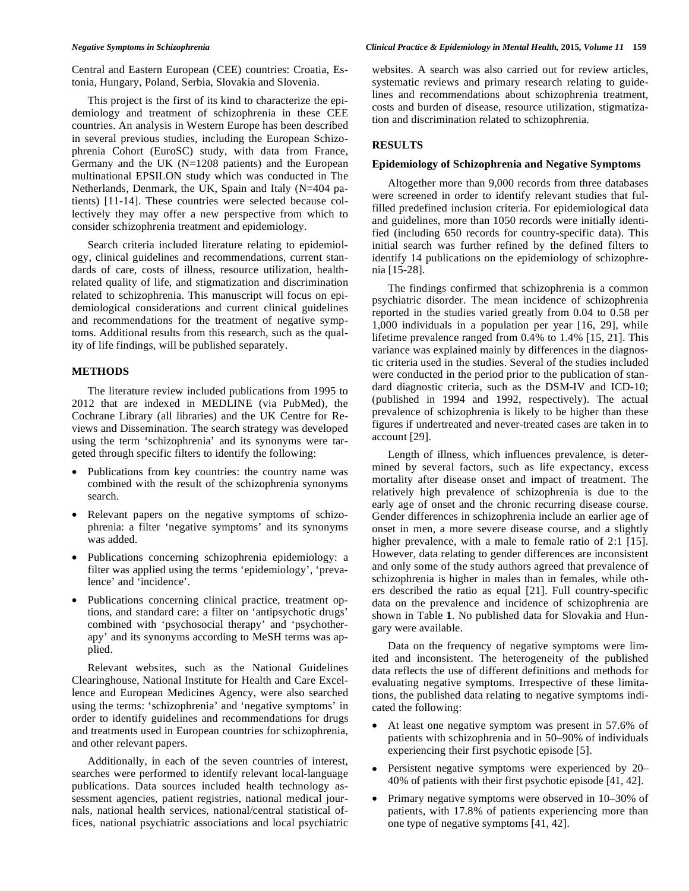Central and Eastern European (CEE) countries: Croatia, Estonia, Hungary, Poland, Serbia, Slovakia and Slovenia.

This project is the first of its kind to characterize the epidemiology and treatment of schizophrenia in these CEE countries. An analysis in Western Europe has been described in several previous studies, including the European Schizophrenia Cohort (EuroSC) study, with data from France, Germany and the UK  $(N=1208 \text{ patients})$  and the European multinational EPSILON study which was conducted in The Netherlands, Denmark, the UK, Spain and Italy (N=404 patients) [11-14]. These countries were selected because collectively they may offer a new perspective from which to consider schizophrenia treatment and epidemiology.

Search criteria included literature relating to epidemiology, clinical guidelines and recommendations, current standards of care, costs of illness, resource utilization, healthrelated quality of life, and stigmatization and discrimination related to schizophrenia. This manuscript will focus on epidemiological considerations and current clinical guidelines and recommendations for the treatment of negative symptoms. Additional results from this research, such as the quality of life findings, will be published separately.

# **METHODS**

The literature review included publications from 1995 to 2012 that are indexed in MEDLINE (via PubMed), the Cochrane Library (all libraries) and the UK Centre for Reviews and Dissemination. The search strategy was developed using the term 'schizophrenia' and its synonyms were targeted through specific filters to identify the following:

- Publications from key countries: the country name was combined with the result of the schizophrenia synonyms search.
- Relevant papers on the negative symptoms of schizophrenia: a filter 'negative symptoms' and its synonyms was added.
- Publications concerning schizophrenia epidemiology: a filter was applied using the terms 'epidemiology', 'prevalence' and 'incidence'.
- Publications concerning clinical practice, treatment options, and standard care: a filter on 'antipsychotic drugs' combined with 'psychosocial therapy' and 'psychotherapy' and its synonyms according to MeSH terms was applied.

Relevant websites, such as the National Guidelines Clearinghouse, National Institute for Health and Care Excellence and European Medicines Agency, were also searched using the terms: 'schizophrenia' and 'negative symptoms' in order to identify guidelines and recommendations for drugs and treatments used in European countries for schizophrenia, and other relevant papers.

Additionally, in each of the seven countries of interest, searches were performed to identify relevant local-language publications. Data sources included health technology assessment agencies, patient registries, national medical journals, national health services, national/central statistical offices, national psychiatric associations and local psychiatric

#### *Negative Symptoms in Schizophrenia Clinical Practice & Epidemiology in Mental Health,* **2015***, Volume 11* **159**

websites. A search was also carried out for review articles, systematic reviews and primary research relating to guidelines and recommendations about schizophrenia treatment, costs and burden of disease, resource utilization, stigmatization and discrimination related to schizophrenia.

## **RESULTS**

#### **Epidemiology of Schizophrenia and Negative Symptoms**

Altogether more than 9,000 records from three databases were screened in order to identify relevant studies that fulfilled predefined inclusion criteria. For epidemiological data and guidelines, more than 1050 records were initially identified (including 650 records for country-specific data). This initial search was further refined by the defined filters to identify 14 publications on the epidemiology of schizophrenia [15-28].

The findings confirmed that schizophrenia is a common psychiatric disorder. The mean incidence of schizophrenia reported in the studies varied greatly from 0.04 to 0.58 per 1,000 individuals in a population per year [16, 29], while lifetime prevalence ranged from 0.4% to 1.4% [15, 21]. This variance was explained mainly by differences in the diagnostic criteria used in the studies. Several of the studies included were conducted in the period prior to the publication of standard diagnostic criteria, such as the DSM-IV and ICD-10; (published in 1994 and 1992, respectively). The actual prevalence of schizophrenia is likely to be higher than these figures if undertreated and never-treated cases are taken in to account [29].

Length of illness, which influences prevalence, is determined by several factors, such as life expectancy, excess mortality after disease onset and impact of treatment. The relatively high prevalence of schizophrenia is due to the early age of onset and the chronic recurring disease course. Gender differences in schizophrenia include an earlier age of onset in men, a more severe disease course, and a slightly higher prevalence, with a male to female ratio of 2:1 [15]. However, data relating to gender differences are inconsistent and only some of the study authors agreed that prevalence of schizophrenia is higher in males than in females, while others described the ratio as equal [21]. Full country-specific data on the prevalence and incidence of schizophrenia are shown in Table **1**. No published data for Slovakia and Hungary were available.

Data on the frequency of negative symptoms were limited and inconsistent. The heterogeneity of the published data reflects the use of different definitions and methods for evaluating negative symptoms. Irrespective of these limitations, the published data relating to negative symptoms indicated the following:

- At least one negative symptom was present in 57.6% of patients with schizophrenia and in 50–90% of individuals experiencing their first psychotic episode [5].
- Persistent negative symptoms were experienced by 20– 40% of patients with their first psychotic episode [41, 42].
- Primary negative symptoms were observed in 10–30% of patients, with 17.8% of patients experiencing more than one type of negative symptoms [41, 42].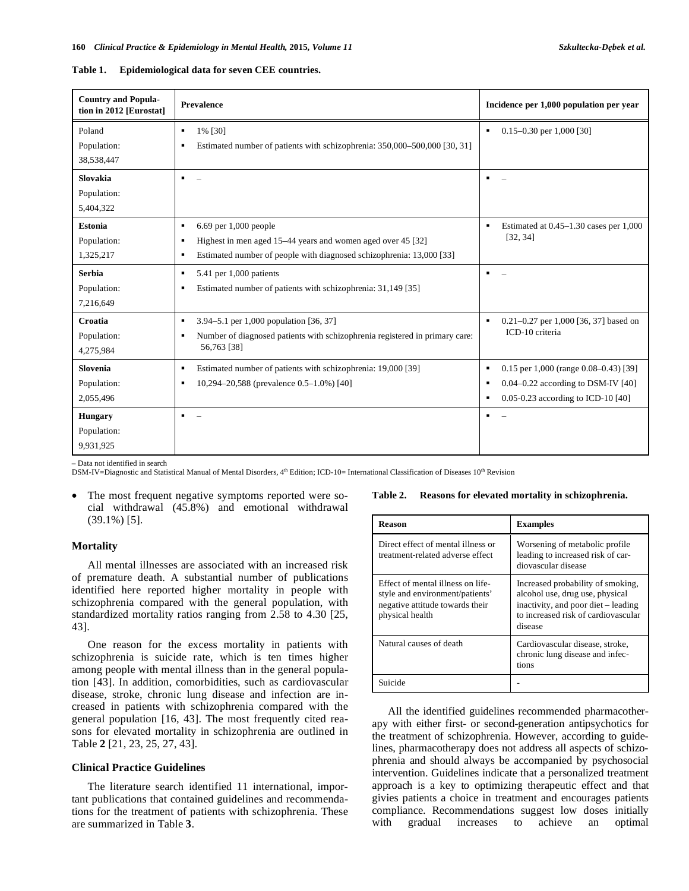| <b>Country and Popula-</b><br>tion in 2012 [Eurostat] | <b>Prevalence</b>                                                                                                                                                           | Incidence per 1,000 population per year                                                                                                   |  |
|-------------------------------------------------------|-----------------------------------------------------------------------------------------------------------------------------------------------------------------------------|-------------------------------------------------------------------------------------------------------------------------------------------|--|
| Poland<br>Population:<br>38,538,447                   | 1% [30]<br>٠<br>Estimated number of patients with schizophrenia: 350,000–500,000 [30, 31]<br>٠                                                                              | $0.15 - 0.30$ per 1,000 [30]                                                                                                              |  |
| Slovakia<br>Population:<br>5,404,322                  |                                                                                                                                                                             |                                                                                                                                           |  |
| <b>Estonia</b><br>Population:<br>1,325,217            | 6.69 per 1,000 people<br>٠<br>Highest in men aged 15–44 years and women aged over 45 [32]<br>٠<br>Estimated number of people with diagnosed schizophrenia: 13,000 [33]<br>٠ | Estimated at $0.45-1.30$ cases per $1,000$<br>[32, 34]                                                                                    |  |
| <b>Serbia</b><br>Population:<br>7,216,649             | 5.41 per 1,000 patients<br>٠<br>Estimated number of patients with schizophrenia: 31,149 [35]<br>٠                                                                           | ٠.                                                                                                                                        |  |
| Croatia<br>Population:<br>4,275,984                   | 3.94–5.1 per 1,000 population [36, 37]<br>٠<br>Number of diagnosed patients with schizophrenia registered in primary care:<br>٠<br>56,763 [38]                              | $0.21 - 0.27$ per 1,000 [36, 37] based on<br>ICD-10 criteria                                                                              |  |
| Slovenia<br>Population:<br>2,055,496                  | Estimated number of patients with schizophrenia: 19,000 [39]<br>٠<br>10,294–20,588 (prevalence 0.5–1.0%) [40]<br>٠                                                          | 0.15 per 1,000 (range $0.08 - 0.43$ ) [39]<br>٠<br>$0.04 - 0.22$ according to DSM-IV [40]<br>п<br>0.05-0.23 according to ICD-10 [40]<br>٠ |  |
| <b>Hungary</b><br>Population:<br>9,931,925            |                                                                                                                                                                             | ٠                                                                                                                                         |  |

#### **Table 1. Epidemiological data for seven CEE countries.**

– Data not identified in search

DSM-IV=Diagnostic and Statistical Manual of Mental Disorders, 4<sup>th</sup> Edition; ICD-10= International Classification of Diseases 10<sup>th</sup> Revision

The most frequent negative symptoms reported were social withdrawal (45.8%) and emotional withdrawal (39.1%) [5].

# **Mortality**

All mental illnesses are associated with an increased risk of premature death. A substantial number of publications identified here reported higher mortality in people with schizophrenia compared with the general population, with standardized mortality ratios ranging from 2.58 to 4.30 [25, 43].

One reason for the excess mortality in patients with schizophrenia is suicide rate, which is ten times higher among people with mental illness than in the general population [43]. In addition, comorbidities, such as cardiovascular disease, stroke, chronic lung disease and infection are increased in patients with schizophrenia compared with the general population [16, 43]. The most frequently cited reasons for elevated mortality in schizophrenia are outlined in Table **2** [21, 23, 25, 27, 43].

# **Clinical Practice Guidelines**

The literature search identified 11 international, important publications that contained guidelines and recommendations for the treatment of patients with schizophrenia. These are summarized in Table **3**.

#### **Table 2. Reasons for elevated mortality in schizophrenia.**

| Reason                                                                                                                     | <b>Examples</b>                                                                                                                                               |
|----------------------------------------------------------------------------------------------------------------------------|---------------------------------------------------------------------------------------------------------------------------------------------------------------|
| Direct effect of mental illness or<br>treatment-related adverse effect                                                     | Worsening of metabolic profile.<br>leading to increased risk of car-<br>diovascular disease                                                                   |
| Effect of mental illness on life-<br>style and environment/patients'<br>negative attitude towards their<br>physical health | Increased probability of smoking,<br>alcohol use, drug use, physical<br>inactivity, and poor diet – leading<br>to increased risk of cardiovascular<br>disease |
| Natural causes of death                                                                                                    | Cardiovascular disease, stroke,<br>chronic lung disease and infec-<br>tions                                                                                   |
| Suicide                                                                                                                    |                                                                                                                                                               |

All the identified guidelines recommended pharmacotherapy with either first- or second-generation antipsychotics for the treatment of schizophrenia. However, according to guidelines, pharmacotherapy does not address all aspects of schizophrenia and should always be accompanied by psychosocial intervention. Guidelines indicate that a personalized treatment approach is a key to optimizing therapeutic effect and that givies patients a choice in treatment and encourages patients compliance. Recommendations suggest low doses initially with gradual increases to achieve an optimal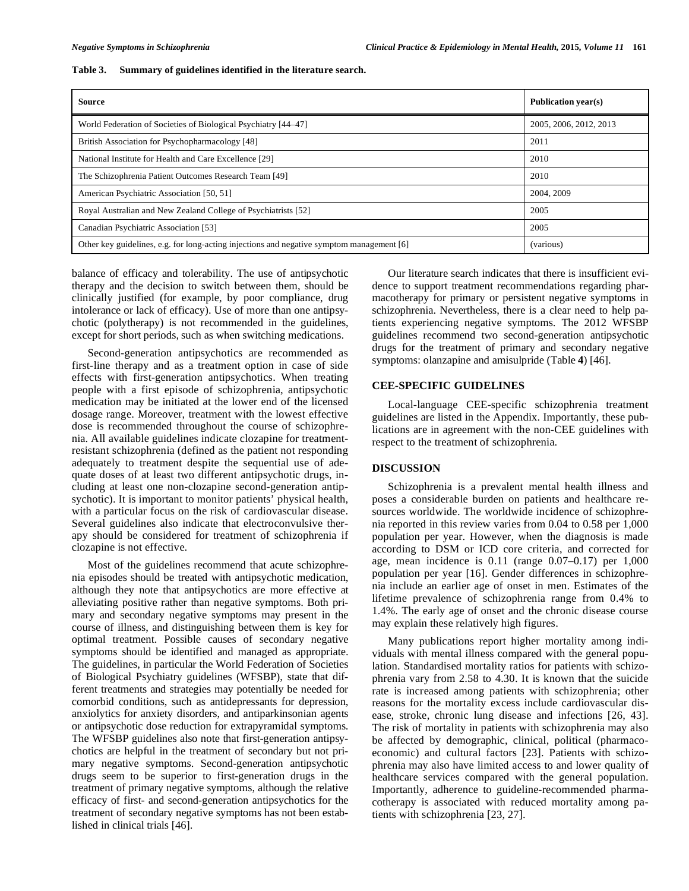| <b>Source</b>                                                                             | <b>Publication vear(s)</b> |
|-------------------------------------------------------------------------------------------|----------------------------|
| World Federation of Societies of Biological Psychiatry [44–47]                            | 2005, 2006, 2012, 2013     |
| British Association for Psychopharmacology [48]                                           | 2011                       |
| National Institute for Health and Care Excellence [29]                                    | 2010                       |
| The Schizophrenia Patient Outcomes Research Team [49]                                     | 2010                       |
| American Psychiatric Association [50, 51]                                                 | 2004, 2009                 |
| Royal Australian and New Zealand College of Psychiatrists [52]                            | 2005                       |
| Canadian Psychiatric Association [53]                                                     | 2005                       |
| Other key guidelines, e.g. for long-acting injections and negative symptom management [6] | (various)                  |

#### **Table 3. Summary of guidelines identified in the literature search.**

balance of efficacy and tolerability. The use of antipsychotic therapy and the decision to switch between them, should be clinically justified (for example, by poor compliance, drug intolerance or lack of efficacy). Use of more than one antipsychotic (polytherapy) is not recommended in the guidelines, except for short periods, such as when switching medications.

Second-generation antipsychotics are recommended as first-line therapy and as a treatment option in case of side effects with first-generation antipsychotics. When treating people with a first episode of schizophrenia, antipsychotic medication may be initiated at the lower end of the licensed dosage range. Moreover, treatment with the lowest effective dose is recommended throughout the course of schizophrenia. All available guidelines indicate clozapine for treatmentresistant schizophrenia (defined as the patient not responding adequately to treatment despite the sequential use of adequate doses of at least two different antipsychotic drugs, including at least one non-clozapine second-generation antipsychotic). It is important to monitor patients' physical health, with a particular focus on the risk of cardiovascular disease. Several guidelines also indicate that electroconvulsive therapy should be considered for treatment of schizophrenia if clozapine is not effective.

Most of the guidelines recommend that acute schizophrenia episodes should be treated with antipsychotic medication, although they note that antipsychotics are more effective at alleviating positive rather than negative symptoms. Both primary and secondary negative symptoms may present in the course of illness, and distinguishing between them is key for optimal treatment. Possible causes of secondary negative symptoms should be identified and managed as appropriate. The guidelines, in particular the World Federation of Societies of Biological Psychiatry guidelines (WFSBP), state that different treatments and strategies may potentially be needed for comorbid conditions, such as antidepressants for depression, anxiolytics for anxiety disorders, and antiparkinsonian agents or antipsychotic dose reduction for extrapyramidal symptoms. The WFSBP guidelines also note that first-generation antipsychotics are helpful in the treatment of secondary but not primary negative symptoms. Second-generation antipsychotic drugs seem to be superior to first-generation drugs in the treatment of primary negative symptoms, although the relative efficacy of first- and second-generation antipsychotics for the treatment of secondary negative symptoms has not been established in clinical trials [46].

Our literature search indicates that there is insufficient evidence to support treatment recommendations regarding pharmacotherapy for primary or persistent negative symptoms in schizophrenia. Nevertheless, there is a clear need to help patients experiencing negative symptoms. The 2012 WFSBP guidelines recommend two second-generation antipsychotic drugs for the treatment of primary and secondary negative symptoms: olanzapine and amisulpride (Table **4**) [46].

#### **CEE-SPECIFIC GUIDELINES**

Local-language CEE-specific schizophrenia treatment guidelines are listed in the Appendix. Importantly, these publications are in agreement with the non-CEE guidelines with respect to the treatment of schizophrenia.

### **DISCUSSION**

Schizophrenia is a prevalent mental health illness and poses a considerable burden on patients and healthcare resources worldwide. The worldwide incidence of schizophrenia reported in this review varies from 0.04 to 0.58 per 1,000 population per year. However, when the diagnosis is made according to DSM or ICD core criteria, and corrected for age, mean incidence is 0.11 (range 0.07–0.17) per 1,000 population per year [16]. Gender differences in schizophrenia include an earlier age of onset in men. Estimates of the lifetime prevalence of schizophrenia range from 0.4% to 1.4%. The early age of onset and the chronic disease course may explain these relatively high figures.

Many publications report higher mortality among individuals with mental illness compared with the general population. Standardised mortality ratios for patients with schizophrenia vary from 2.58 to 4.30. It is known that the suicide rate is increased among patients with schizophrenia; other reasons for the mortality excess include cardiovascular disease, stroke, chronic lung disease and infections [26, 43]. The risk of mortality in patients with schizophrenia may also be affected by demographic, clinical, political (pharmacoeconomic) and cultural factors [23]. Patients with schizophrenia may also have limited access to and lower quality of healthcare services compared with the general population. Importantly, adherence to guideline-recommended pharmacotherapy is associated with reduced mortality among patients with schizophrenia [23, 27].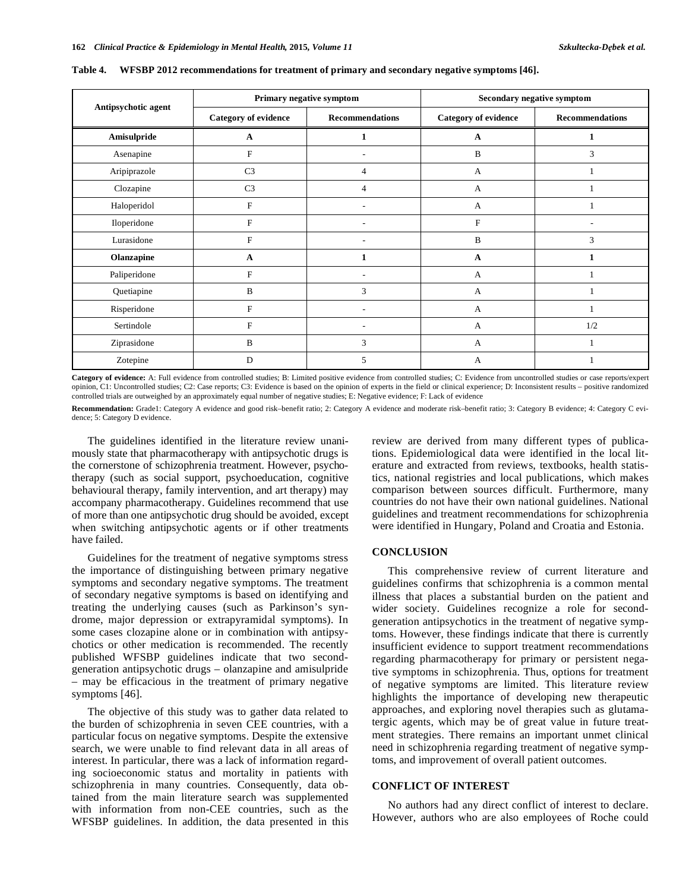| Antipsychotic agent | Primary negative symptom    |                          | Secondary negative symptom  |                        |
|---------------------|-----------------------------|--------------------------|-----------------------------|------------------------|
|                     | <b>Category of evidence</b> | <b>Recommendations</b>   | <b>Category of evidence</b> | <b>Recommendations</b> |
| Amisulpride         | A                           | 1                        | A                           |                        |
| Asenapine           | F                           |                          | B                           | 3                      |
| Aripiprazole        | C <sub>3</sub>              | $\overline{4}$           | А                           |                        |
| Clozapine           | C <sub>3</sub>              | $\overline{4}$           | A                           |                        |
| Haloperidol         | F                           | $\overline{\phantom{a}}$ | А                           |                        |
| Iloperidone         | F                           |                          | F                           | ٠                      |
| Lurasidone          | $\overline{F}$              |                          | B                           | 3                      |
| Olanzapine          | A                           | 1                        | A                           | 1                      |
| Paliperidone        | F                           |                          | А                           |                        |
| Quetiapine          | B                           | 3                        | A                           |                        |
| Risperidone         | F                           |                          | A                           |                        |
| Sertindole          | $\mathbf{F}$                | $\overline{\phantom{a}}$ | А                           | 1/2                    |
| Ziprasidone         | B                           | 3                        | А                           |                        |
| Zotepine            | D                           | 5                        | А                           |                        |

**Table 4. WFSBP 2012 recommendations for treatment of primary and secondary negative symptoms [46].** 

**Category of evidence:** A: Full evidence from controlled studies; B: Limited positive evidence from controlled studies; C: Evidence from uncontrolled studies or case reports/expert opinion, C1: Uncontrolled studies; C2: Case reports; C3: Evidence is based on the opinion of experts in the field or clinical experience; D: Inconsistent results – positive randomized controlled trials are outweighed by an approximately equal number of negative studies; E: Negative evidence; F: Lack of evidence

**Recommendation:** Grade1: Category A evidence and good risk–benefit ratio; 2: Category A evidence and moderate risk–benefit ratio; 3: Category B evidence; 4: Category C evidence; 5: Category D evidence.

The guidelines identified in the literature review unanimously state that pharmacotherapy with antipsychotic drugs is the cornerstone of schizophrenia treatment. However, psychotherapy (such as social support, psychoeducation, cognitive behavioural therapy, family intervention, and art therapy) may accompany pharmacotherapy. Guidelines recommend that use of more than one antipsychotic drug should be avoided, except when switching antipsychotic agents or if other treatments have failed.

Guidelines for the treatment of negative symptoms stress the importance of distinguishing between primary negative symptoms and secondary negative symptoms. The treatment of secondary negative symptoms is based on identifying and treating the underlying causes (such as Parkinson's syndrome, major depression or extrapyramidal symptoms). In some cases clozapine alone or in combination with antipsychotics or other medication is recommended. The recently published WFSBP guidelines indicate that two secondgeneration antipsychotic drugs – olanzapine and amisulpride – may be efficacious in the treatment of primary negative symptoms [46].

The objective of this study was to gather data related to the burden of schizophrenia in seven CEE countries, with a particular focus on negative symptoms. Despite the extensive search, we were unable to find relevant data in all areas of interest. In particular, there was a lack of information regarding socioeconomic status and mortality in patients with schizophrenia in many countries. Consequently, data obtained from the main literature search was supplemented with information from non-CEE countries, such as the WFSBP guidelines. In addition, the data presented in this review are derived from many different types of publications. Epidemiological data were identified in the local literature and extracted from reviews, textbooks, health statistics, national registries and local publications, which makes comparison between sources difficult. Furthermore, many countries do not have their own national guidelines. National guidelines and treatment recommendations for schizophrenia were identified in Hungary, Poland and Croatia and Estonia.

#### **CONCLUSION**

This comprehensive review of current literature and guidelines confirms that schizophrenia is a common mental illness that places a substantial burden on the patient and wider society. Guidelines recognize a role for secondgeneration antipsychotics in the treatment of negative symptoms. However, these findings indicate that there is currently insufficient evidence to support treatment recommendations regarding pharmacotherapy for primary or persistent negative symptoms in schizophrenia. Thus, options for treatment of negative symptoms are limited. This literature review highlights the importance of developing new therapeutic approaches, and exploring novel therapies such as glutamatergic agents, which may be of great value in future treatment strategies. There remains an important unmet clinical need in schizophrenia regarding treatment of negative symptoms, and improvement of overall patient outcomes.

# **CONFLICT OF INTEREST**

No authors had any direct conflict of interest to declare. However, authors who are also employees of Roche could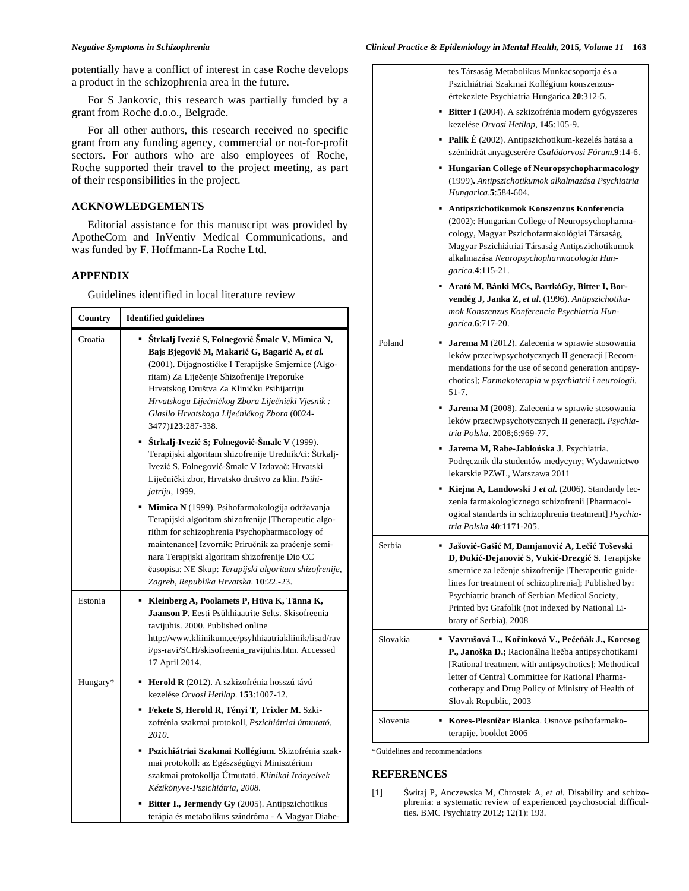potentially have a conflict of interest in case Roche develops a product in the schizophrenia area in the future.

For S Jankovic, this research was partially funded by a grant from Roche d.o.o., Belgrade.

For all other authors, this research received no specific grant from any funding agency, commercial or not-for-profit sectors. For authors who are also employees of Roche, Roche supported their travel to the project meeting, as part of their responsibilities in the project.

# **ACKNOWLEDGEMENTS**

Editorial assistance for this manuscript was provided by ApotheCom and InVentiv Medical Communications, and was funded by F. Hoffmann-La Roche Ltd.

# **APPENDIX**

┱

Guidelines identified in local literature review

| Country  | <b>Identified guidelines</b>                                                                                                                                                                                                                                                                                                                                                                                                                                                                                           |  |
|----------|------------------------------------------------------------------------------------------------------------------------------------------------------------------------------------------------------------------------------------------------------------------------------------------------------------------------------------------------------------------------------------------------------------------------------------------------------------------------------------------------------------------------|--|
| Croatia  | Štrkalj Ivezić S, Folnegović Šmalc V, Mimica N,<br>Bajs Bjegović M, Makarić G, Bagarić A, et al.<br>(2001). Dijagnostičke I Terapijske Smjernice (Algo-<br>ritam) Za Liječenje Shizofrenije Preporuke<br>Hrvatskog Društva Za Kliničku Psihijatriju<br>Hrvatskoga Liječničkog Zbora Liječnički Vjesnik:<br>Glasilo Hrvatskoga Liječničkog Zbora (0024-<br>3477)123:287-338.                                                                                                                                            |  |
|          | ■ Štrkalj-Ivezić S; Folnegović-Šmalc V (1999).<br>Terapijski algoritam shizofrenije Urednik/ci: Štrkalj-<br>Ivezić S, Folnegović-Šmalc V Izdavač: Hrvatski<br>Liječnički zbor, Hrvatsko društvo za klin. Psihi-<br><i>jatriju</i> , 1999.                                                                                                                                                                                                                                                                              |  |
|          | <b>Mimica N</b> (1999). Psihofarmakologija održavanja<br>Terapijski algoritam shizofrenije [Therapeutic algo-<br>rithm for schizophrenia Psychopharmacology of<br>maintenance] Izvornik: Priručnik za praćenje semi-<br>nara Terapijski algoritam shizofrenije Dio CC<br>časopisa: NE Skup: Terapijski algoritam shizofrenije,<br>Zagreb, Republika Hrvatska. 10:22.-23.                                                                                                                                               |  |
| Estonia  | Kleinberg A, Poolamets P, Hüva K, Tänna K,<br>Jaanson P. Eesti Psühhiaatrite Selts. Skisofreenia<br>ravijuhis. 2000. Published online<br>http://www.kliinikum.ee/psyhhiaatriakliinik/lisad/rav<br>i/ps-ravi/SCH/skisofreenia_ravijuhis.htm. Accessed<br>17 April 2014.                                                                                                                                                                                                                                                 |  |
| Hungary* | Herold R (2012). A szkizofrénia hosszú távú<br>٠<br>kezelése Orvosi Hetilap. 153:1007-12.<br>Fekete S, Herold R, Tényi T, Trixler M. Szki-<br>zofrénia szakmai protokoll, Pszichiátriai útmutató,<br>2010.<br>Pszichiátriai Szakmai Kollégium. Skizofrénia szak-<br>mai protokoll: az Egészségügyi Minisztérium<br>szakmai protokollja Útmutató. Klinikai Irányelvek<br>Kézikönyve-Pszichiátria, 2008.<br><b>Bitter I., Jermendy Gy</b> (2005). Antipszichotikus<br>terápia és metabolikus szindróma - A Magyar Diabe- |  |

tes Társaság Metabolikus Munkacsoportja és a Pszichiátriai Szakmai Kollégium konszenzusértekezlete Psychiatria Hungarica.**20**:312-5. **Bitter I** (2004). A szkizofrénia modern gyógyszeres kezelése *Orvosi Hetilap*, **145**:105-9. **Palik É** (2002). Antipszichotikum-kezelés hatása a szénhidrát anyagcserére *Családorvosi Fórum*.**9**:14-6. **Hungarian College of Neuropsychopharmacology**  (1999)**.** *Antipszichotikumok alkalmazása Psychiatria Hungarica*.**5**:584-604. **Antipszichotikumok Konszenzus Konferencia**  (2002): Hungarian College of Neuropsychopharmacology, Magyar Pszichofarmakológiai Társaság, Magyar Pszichiátriai Társaság Antipszichotikumok alkalmazása *Neuropsychopharmacologia Hungarica*.**4**:115-21. **Arató M, Bánki MCs, BartkóGy, Bitter I, Borvendég J, Janka Z,** *et al.* (1996). *Antipszichotikumok Konszenzus Konferencia Psychiatria Hungarica*.**6**:717-20. Poland **Jarema M** (2012). Zalecenia w sprawie stosowania leków przeciwpsychotycznych II generacji [Recommendations for the use of second generation antipsychotics]; *Farmakoterapia w psychiatrii i neurologii*. 51-7. **Jarema M** (2008). Zalecenia w sprawie stosowania leków przeciwpsychotycznych II generacji. *Psychiatria Polska*. 2008;6:969-77. **Jarema M, Rabe-Jaboska J**. Psychiatria. Podręcznik dla studentów medycyny; Wydawnictwo lekarskie PZWL, Warszawa 2011 **Kiejna A, Landowski J** *et al.* (2006). Standardy leczenia farmakologicznego schizofrenii [Pharmacological standards in schizophrenia treatment] *Psychiatria Polska* **40**:1171-205. Serbia **Ja ovi-Ga i M, Damjanovi A, Le i To evski D, uki-Dejanovi S, Vuki-Drezgi S**. Terapijske smernice za lečenje shizofrenije [Therapeutic guidelines for treatment of schizophrenia]; Published by: Psychiatric branch of Serbian Medical Society, Printed by: Grafolik (not indexed by National Library of Serbia), 2008 Slovakia **Vavru ová L., Koínková V., Pe eák J., Korcsog**  P., Janoška D.; Racionálna liečba antipsychotikami [Rational treatment with antipsychotics]; Methodical letter of Central Committee for Rational Pharmacotherapy and Drug Policy of Ministry of Health of Slovak Republic, 2003 Slovenia **Kores-Plesni ar Blanka**. Osnove psihofarmako-

\*Guidelines and recommendations

# **REFERENCES**

[1] witaj P, Anczewska M, Chrostek A, *et al.* Disability and schizophrenia: a systematic review of experienced psychosocial difficulties. BMC Psychiatry 2012; 12(1): 193.

terapije. booklet 2006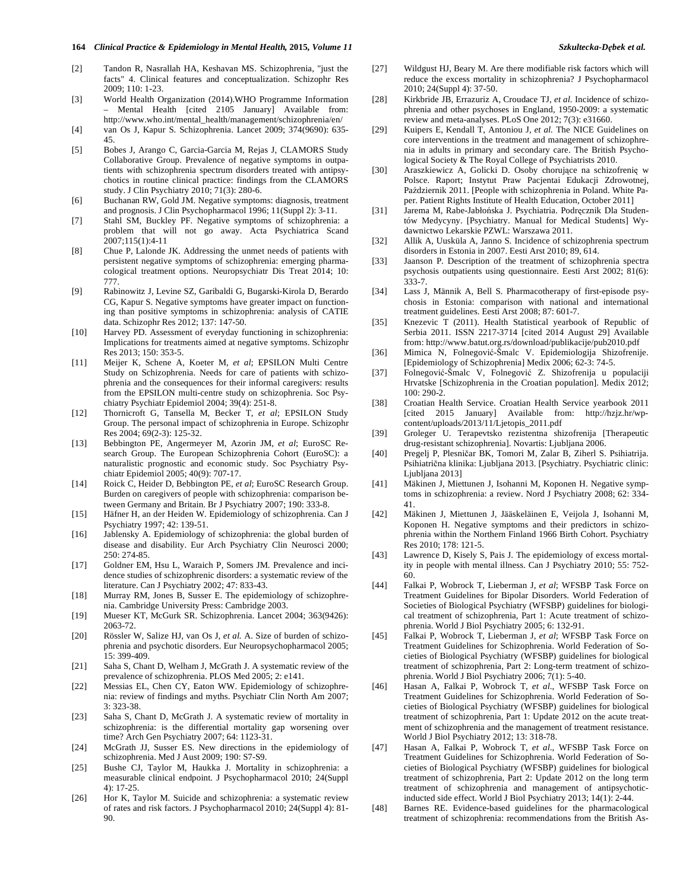- [2] Tandon R, Nasrallah HA, Keshavan MS. Schizophrenia, "just the facts" 4. Clinical features and conceptualization. Schizophr Res 2009; 110: 1-23.
- [3] World Health Organization (2014).WHO Programme Information – Mental Health [cited 2105 January] Available from: http://www.who.int/mental\_health/management/schizophrenia/en/
- [4] van Os J, Kapur S. Schizophrenia. Lancet 2009; 374(9690): 635- 45.
- [5] Bobes J, Arango C, Garcia-Garcia M, Rejas J, CLAMORS Study Collaborative Group. Prevalence of negative symptoms in outpatients with schizophrenia spectrum disorders treated with antipsychotics in routine clinical practice: findings from the CLAMORS study. J Clin Psychiatry 2010; 71(3): 280-6.
- [6] Buchanan RW, Gold JM. Negative symptoms: diagnosis, treatment and prognosis. J Clin Psychopharmacol 1996; 11(Suppl 2): 3-11.
- [7] Stahl SM, Buckley PF. Negative symptoms of schizophrenia: a problem that will not go away. Acta Psychiatrica Scand 2007;115(1):4-11
- [8] Chue P, Lalonde JK. Addressing the unmet needs of patients with persistent negative symptoms of schizophrenia: emerging pharmacological treatment options. Neuropsychiatr Dis Treat 2014; 10: 777.
- [9] Rabinowitz J, Levine SZ, Garibaldi G, Bugarski-Kirola D, Berardo CG, Kapur S. Negative symptoms have greater impact on functioning than positive symptoms in schizophrenia: analysis of CATIE data. Schizophr Res 2012; 137: 147-50.
- [10] Harvey PD. Assessment of everyday functioning in schizophrenia: Implications for treatments aimed at negative symptoms. Schizophr Res 2013; 150: 353-5.
- [11] Meijer K, Schene A, Koeter M, *et al*; EPSILON Multi Centre Study on Schizophrenia. Needs for care of patients with schizophrenia and the consequences for their informal caregivers: results from the EPSILON multi-centre study on schizophrenia. Soc Psychiatry Psychiatr Epidemiol 2004; 39(4): 251-8.
- [12] Thornicroft G, Tansella M, Becker T, *et al*; EPSILON Study Group. The personal impact of schizophrenia in Europe. Schizophr Res 2004; 69(2-3): 125-32.
- [13] Bebbington PE, Angermeyer M, Azorin JM, *et al*; EuroSC Research Group. The European Schizophrenia Cohort (EuroSC): a naturalistic prognostic and economic study. Soc Psychiatry Psychiatr Epidemiol 2005; 40(9): 707-17.
- [14] Roick C, Heider D, Bebbington PE, *et al*; EuroSC Research Group. Burden on caregivers of people with schizophrenia: comparison between Germany and Britain. Br J Psychiatry 2007; 190: 333-8.
- [15] Häfner H, an der Heiden W. Epidemiology of schizophrenia. Can J Psychiatry 1997; 42: 139-51.
- [16] Jablensky A. Epidemiology of schizophrenia: the global burden of disease and disability. Eur Arch Psychiatry Clin Neurosci 2000; 250: 274-85.
- [17] Goldner EM, Hsu L, Waraich P, Somers JM. Prevalence and incidence studies of schizophrenic disorders: a systematic review of the literature. Can J Psychiatry 2002; 47: 833-43.
- [18] Murray RM, Jones B, Susser E. The epidemiology of schizophrenia. Cambridge University Press: Cambridge 2003.
- [19] Mueser KT, McGurk SR. Schizophrenia. Lancet 2004; 363(9426): 2063-72.
- [20] Rössler W, Salize HJ, van Os J, *et al.* A. Size of burden of schizophrenia and psychotic disorders. Eur Neuropsychopharmacol 2005; 15: 399-409.
- [21] Saha S, Chant D, Welham J, McGrath J. A systematic review of the prevalence of schizophrenia. PLOS Med 2005; 2: e141.
- [22] Messias EL, Chen CY, Eaton WW. Epidemiology of schizophrenia: review of findings and myths. Psychiatr Clin North Am 2007; 3: 323-38.
- [23] Saha S, Chant D, McGrath J. A systematic review of mortality in schizophrenia: is the differential mortality gap worsening over time? Arch Gen Psychiatry 2007; 64: 1123-31.
- [24] McGrath JJ, Susser ES. New directions in the epidemiology of schizophrenia. Med J Aust 2009; 190: S7-S9.
- [25] Bushe CJ, Taylor M, Haukka J. Mortality in schizophrenia: a measurable clinical endpoint. J Psychopharmacol 2010; 24(Suppl 4): 17-25.
- [26] Hor K, Taylor M. Suicide and schizophrenia: a systematic review of rates and risk factors. J Psychopharmacol 2010; 24(Suppl 4): 81- 90.
- [27] Wildgust HJ, Beary M. Are there modifiable risk factors which will reduce the excess mortality in schizophrenia? J Psychopharmacol 2010; 24(Suppl 4): 37-50.
- [28] Kirkbride JB, Errazuriz A, Croudace TJ, *et al.* Incidence of schizophrenia and other psychoses in England, 1950-2009: a systematic review and meta-analyses. PLoS One 2012; 7(3): e31660.
- [29] Kuipers E, Kendall T, Antoniou J, *et al.* The NICE Guidelines on core interventions in the treatment and management of schizophrenia in adults in primary and secondary care. The British Psychological Society & The Royal College of Psychiatrists 2010.
- [30] Araszkiewicz A, Golicki D. Osoby chorujące na schizofrenię w Polsce. Raport; Instytut Praw Pacjentai Edukacji Zdrowotnej, Październik 2011. [People with schizophrenia in Poland. White Paper. Patient Rights Institute of Health Education, October 2011]
- [31] Jarema M, Rabe-Jabłońska J. Psychiatria. Podręcznik Dla Studentów Medycyny. [Psychiatry. Manual for Medical Students] Wydawnictwo Lekarskie PZWL: Warszawa 2011.
- [32] Allik A, Uusküla A, Janno S. Incidence of schizophrenia spectrum disorders in Estonia in 2007. Eesti Arst 2010; 89, 614.
- [33] Jaanson P. Description of the treatment of schizophrenia spectra psychosis outpatients using questionnaire. Eesti Arst 2002; 81(6): 333-7.
- [34] Lass J, Männik A, Bell S. Pharmacotherapy of first-episode psychosis in Estonia: comparison with national and international treatment guidelines. Eesti Arst 2008; 87: 601-7.
- [35] Knezevic T (2011). Health Statistical yearbook of Republic of Serbia 2011. ISSN 2217-3714 [cited 2014 August 29] Available from: http://www.batut.org.rs/download/publikacije/pub2010.pdf
- [36] Mimica N, Folnegović-Šmalc V. Epidemiologija Shizofrenije. [Epidemiology of Schizophrenia] Medix 2006; 62-3: 74-5.
- [37] Folnegović-Šmalc V, Folnegović Z. Shizofrenija u populaciji Hrvatske [Schizophrenia in the Croatian population]. Medix 2012; 100: 290-2.
- [38] Croatian Health Service. Croatian Health Service yearbook 2011 [cited 2015 January] Available from: http://hzjz.hr/wpcontent/uploads/2013/11/Ljetopis\_2011.pdf
- [39] Groleger U. Terapevtsko rezistentna shizofrenija [Therapeutic drug-resistant schizophrenia]. Novartis: Ljubljana 2006.
- [40] Pregelj P, Plesni ar BK, Tomori M, Zalar B, Ziherl S. Psihiatrija. Psihiatrična klinika: Ljubljana 2013. [Psychiatry. Psychiatric clinic: Ljubljana 2013]
- [41] Mäkinen J, Miettunen J, Isohanni M, Koponen H. Negative symptoms in schizophrenia: a review. Nord J Psychiatry 2008; 62: 334- 41.
- [42] Mäkinen J, Miettunen J, Jääskeläinen E, Veijola J, Isohanni M, Koponen H. Negative symptoms and their predictors in schizophrenia within the Northern Finland 1966 Birth Cohort. Psychiatry Res 2010; 178: 121-5.
- [43] Lawrence D, Kisely S, Pais J. The epidemiology of excess mortality in people with mental illness. Can J Psychiatry 2010; 55: 752- 60.
- [44] Falkai P, Wobrock T, Lieberman J, *et al*; WFSBP Task Force on Treatment Guidelines for Bipolar Disorders. World Federation of Societies of Biological Psychiatry (WFSBP) guidelines for biological treatment of schizophrenia, Part 1: Acute treatment of schizophrenia. World J Biol Psychiatry 2005; 6: 132-91.
- [45] Falkai P, Wobrock T, Lieberman J, *et al*; WFSBP Task Force on Treatment Guidelines for Schizophrenia. World Federation of Societies of Biological Psychiatry (WFSBP) guidelines for biological treatment of schizophrenia, Part 2: Long-term treatment of schizophrenia. World J Biol Psychiatry 2006; 7(1): 5-40.
- [46] Hasan A, Falkai P, Wobrock T, *et al*., WFSBP Task Force on Treatment Guidelines for Schizophrenia. World Federation of Societies of Biological Psychiatry (WFSBP) guidelines for biological treatment of schizophrenia, Part 1: Update 2012 on the acute treatment of schizophrenia and the management of treatment resistance. World J Biol Psychiatry 2012; 13: 318-78.
- [47] Hasan A, Falkai P, Wobrock T, *et al*., WFSBP Task Force on Treatment Guidelines for Schizophrenia. World Federation of Societies of Biological Psychiatry (WFSBP) guidelines for biological treatment of schizophrenia, Part 2: Update 2012 on the long term treatment of schizophrenia and management of antipsychoticinducted side effect. World J Biol Psychiatry 2013; 14(1): 2-44.
- [48] Barnes RE. Evidence-based guidelines for the pharmacological treatment of schizophrenia: recommendations from the British As-